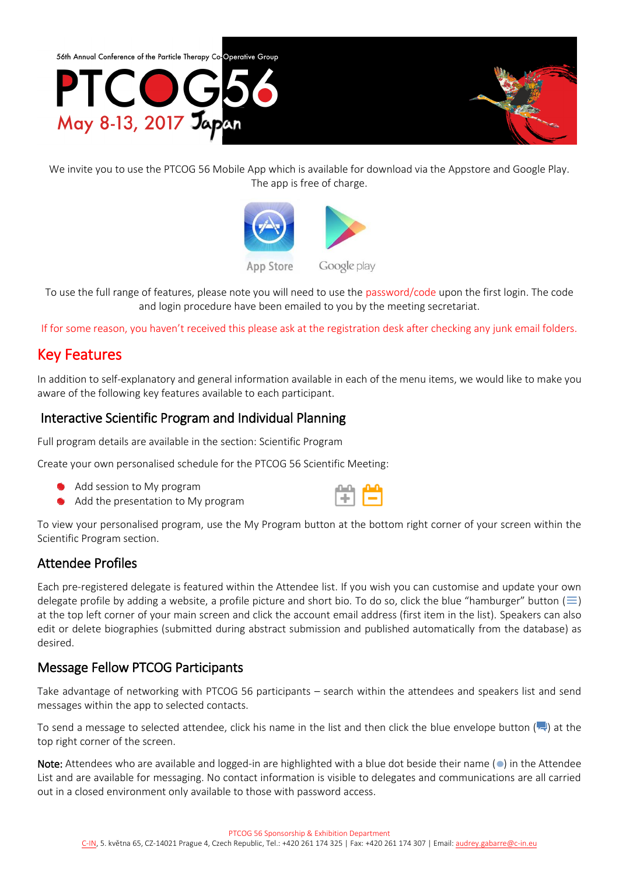

We invite you to use the PTCOG 56 Mobile App which is available for download via the Appstore and Google Play. The app is free of charge.



To use the full range of features, please note you will need to use the password/code upon the first login. The code and login procedure have been emailed to you by the meeting secretariat.

If for some reason, you haven't received this please ask at the registration desk after checking any junk email folders.

# Key Features

In addition to self-explanatory and general information available in each of the menu items, we would like to make you aware of the following key features available to each participant.

### Interactive Scientific Program and Individual Planning

Full program details are available in the section: Scientific Program

Create your own personalised schedule for the PTCOG 56 Scientific Meeting:

- Add session to My program
- Add the presentation to My program



To view your personalised program, use the My Program button at the bottom right corner of your screen within the Scientific Program section.

### Attendee Profiles

Each pre-registered delegate is featured within the Attendee list. If you wish you can customise and update your own delegate profile by adding a website, a profile picture and short bio. To do so, click the blue "hamburger" button ( $\equiv$ ) at the top left corner of your main screen and click the account email address (first item in the list). Speakers can also edit or delete biographies (submitted during abstract submission and published automatically from the database) as desired.

### Message Fellow PTCOG Participants

Take advantage of networking with PTCOG 56 participants – search within the attendees and speakers list and send messages within the app to selected contacts.

To send a message to selected attendee, click his name in the list and then click the blue envelope button  $(\blacksquare)$  at the top right corner of the screen.

Note: Attendees who are available and logged-in are highlighted with a blue dot beside their name  $\circ$  in the Attendee List and are available for messaging. No contact information is visible to delegates and communications are all carried out in a closed environment only available to those with password access.